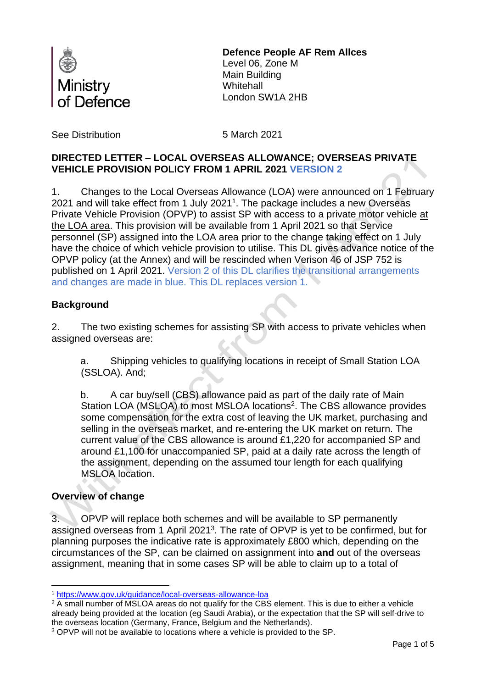

# **Defence People AF Rem Allces**

Level 06, Zone M Main Building **Whitehall** London SW1A 2HB

See Distribution 6 March 2021

# **DIRECTED LETTER – LOCAL OVERSEAS ALLOWANCE; OVERSEAS PRIVATE VEHICLE PROVISION POLICY FROM 1 APRIL 2021 VERSION 2**

1. Changes to the Local Overseas Allowance (LOA) were announced on 1 February 2021 and will take effect from 1 July 2021<sup>1</sup>. The package includes a new Overseas Private Vehicle Provision (OPVP) to assist SP with access to a private motor vehicle at the LOA area. This provision will be available from 1 April 2021 so that Service personnel (SP) assigned into the LOA area prior to the change taking effect on 1 July have the choice of which vehicle provision to utilise. This DL gives advance notice of the OPVP policy (at the Annex) and will be rescinded when Verison 46 of JSP 752 is published on 1 April 2021. Version 2 of this DL clarifies the transitional arrangements and changes are made in blue. This DL replaces version 1.

# **Background**

2. The two existing schemes for assisting SP with access to private vehicles when assigned overseas are:

a. Shipping vehicles to qualifying locations in receipt of Small Station LOA (SSLOA). And;

b. A car buy/sell (CBS) allowance paid as part of the daily rate of Main Station LOA (MSLOA) to most MSLOA locations<sup>2</sup>. The CBS allowance provides some compensation for the extra cost of leaving the UK market, purchasing and selling in the overseas market, and re-entering the UK market on return. The current value of the CBS allowance is around £1,220 for accompanied SP and around £1,100 for unaccompanied SP, paid at a daily rate across the length of the assignment, depending on the assumed tour length for each qualifying MSLOA location.

# **Overview of change**

3. OPVP will replace both schemes and will be available to SP permanently assigned overseas from 1 April 2021<sup>3</sup>. The rate of OPVP is yet to be confirmed, but for planning purposes the indicative rate is approximately £800 which, depending on the circumstances of the SP, can be claimed on assignment into **and** out of the overseas assignment, meaning that in some cases SP will be able to claim up to a total of

<sup>1</sup> <https://www.gov.uk/guidance/local-overseas-allowance-loa>

<sup>&</sup>lt;sup>2</sup> A small number of MSLOA areas do not qualify for the CBS element. This is due to either a vehicle already being provided at the location (eg Saudi Arabia), or the expectation that the SP will self-drive to the overseas location (Germany, France, Belgium and the Netherlands).

<sup>3</sup> OPVP will not be available to locations where a vehicle is provided to the SP.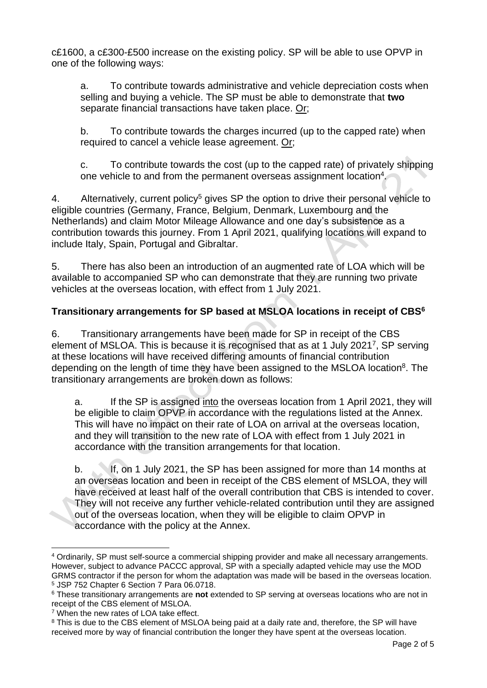c£1600, a c£300-£500 increase on the existing policy. SP will be able to use OPVP in one of the following ways:

a. To contribute towards administrative and vehicle depreciation costs when selling and buying a vehicle. The SP must be able to demonstrate that **two** separate financial transactions have taken place. Or;

b. To contribute towards the charges incurred (up to the capped rate) when required to cancel a vehicle lease agreement. Or;

c. To contribute towards the cost (up to the capped rate) of privately shipping one vehicle to and from the permanent overseas assignment location<sup>4</sup>.

4. Alternatively, current policy<sup>5</sup> gives SP the option to drive their personal vehicle to eligible countries (Germany, France, Belgium, Denmark, Luxembourg and the Netherlands) and claim Motor Mileage Allowance and one day's subsistence as a contribution towards this journey. From 1 April 2021, qualifying locations will expand to include Italy, Spain, Portugal and Gibraltar.

5. There has also been an introduction of an augmented rate of LOA which will be available to accompanied SP who can demonstrate that they are running two private vehicles at the overseas location, with effect from 1 July 2021.

# **Transitionary arrangements for SP based at MSLOA locations in receipt of CBS<sup>6</sup>**

6. Transitionary arrangements have been made for SP in receipt of the CBS element of MSLOA. This is because it is recognised that as at 1 July 2021<sup>7</sup>, SP serving at these locations will have received differing amounts of financial contribution depending on the length of time they have been assigned to the MSLOA location<sup>8</sup>. The transitionary arrangements are broken down as follows:

a. If the SP is assigned into the overseas location from 1 April 2021, they will be eligible to claim OPVP in accordance with the regulations listed at the Annex. This will have no impact on their rate of LOA on arrival at the overseas location, and they will transition to the new rate of LOA with effect from 1 July 2021 in accordance with the transition arrangements for that location.

b. If, on 1 July 2021, the SP has been assigned for more than 14 months at an overseas location and been in receipt of the CBS element of MSLOA, they will have received at least half of the overall contribution that CBS is intended to cover. They will not receive any further vehicle-related contribution until they are assigned out of the overseas location, when they will be eligible to claim OPVP in accordance with the policy at the Annex.

<sup>4</sup> Ordinarily, SP must self-source a commercial shipping provider and make all necessary arrangements. However, subject to advance PACCC approval, SP with a specially adapted vehicle may use the MOD GRMS contractor if the person for whom the adaptation was made will be based in the overseas location. <sup>5</sup> JSP 752 Chapter 6 Section 7 Para 06.0718.

<sup>6</sup> These transitionary arrangements are **not** extended to SP serving at overseas locations who are not in receipt of the CBS element of MSLOA.

<sup>&</sup>lt;sup>7</sup> When the new rates of LOA take effect.

<sup>&</sup>lt;sup>8</sup> This is due to the CBS element of MSLOA being paid at a daily rate and, therefore, the SP will have received more by way of financial contribution the longer they have spent at the overseas location.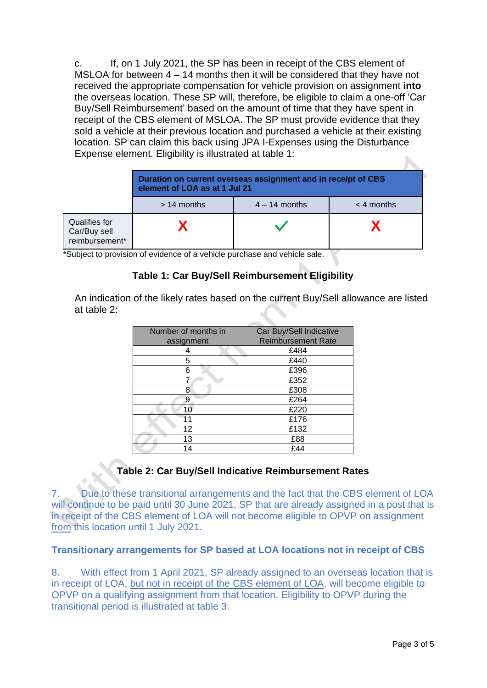c. If, on 1 July 2021, the SP has been in receipt of the CBS element of MSLOA for between 4 – 14 months then it will be considered that they have not received the appropriate compensation for vehicle provision on assignment **into** the overseas location. These SP will, therefore, be eligible to claim a one-off 'Car Buy/Sell Reimbursement' based on the amount of time that they have spent in receipt of the CBS element of MSLOA. The SP must provide evidence that they sold a vehicle at their previous location and purchased a vehicle at their existing location. SP can claim this back using JPA I-Expenses using the Disturbance Expense element. Eligibility is illustrated at table 1:  $\mathbf{A}$ 

|                                                 | Duration on current overseas assignment and in receipt of CBS<br>element of LOA as at 1 Jul 21 |                 |              |
|-------------------------------------------------|------------------------------------------------------------------------------------------------|-----------------|--------------|
|                                                 | $>14$ months                                                                                   | $4 - 14$ months | $<$ 4 months |
| Qualifies for<br>Car/Buy sell<br>reimbursement* |                                                                                                |                 |              |

\*Subject to provision of evidence of a vehicle purchase and vehicle sale.

# **Table 1: Car Buy/Sell Reimbursement Eligibility**

An indication of the likely rates based on the current Buy/Sell allowance are listed at table 2:

| Number of months in | Car Buy/Sell Indicative   |  |  |
|---------------------|---------------------------|--|--|
| assignment          | <b>Reimbursement Rate</b> |  |  |
|                     | £484                      |  |  |
| 5                   | £440                      |  |  |
| 6                   | £396                      |  |  |
|                     | £352                      |  |  |
| 8                   | £308                      |  |  |
| 9                   | £264                      |  |  |
| 10                  | £220                      |  |  |
| 11                  | £176                      |  |  |
| 12                  | £132                      |  |  |
| 13                  | £88                       |  |  |
| 14                  | £44                       |  |  |

# **Table 2: Car Buy/Sell Indicative Reimbursement Rates**

7. Due to these transitional arrangements and the fact that the CBS element of LOA will continue to be paid until 30 June 2021, SP that are already assigned in a post that is in receipt of the CBS element of LOA will not become eligible to OPVP on assignment from this location until 1 July 2021.

#### **Transitionary arrangements for SP based at LOA locations not in receipt of CBS**

8. With effect from 1 April 2021, SP already assigned to an overseas location that is in receipt of LOA, but not in receipt of the CBS element of LOA, will become eligible to OPVP on a qualifying assignment from that location. Eligibility to OPVP during the transitional period is illustrated at table 3: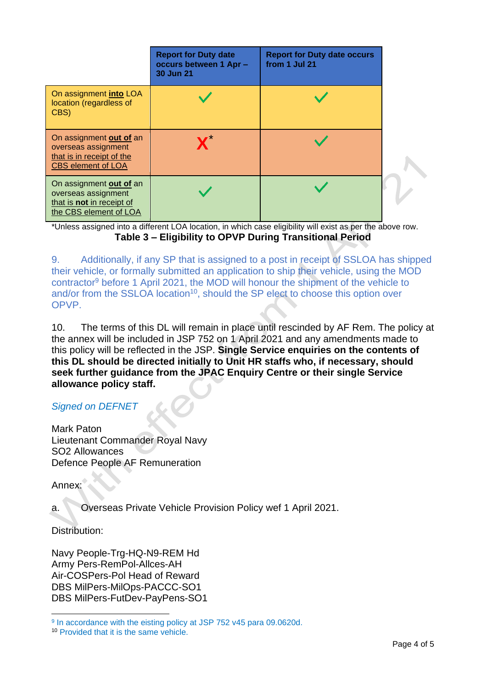|                                                                                                          | <b>Report for Duty date</b><br>occurs between 1 Apr -<br>30 Jun 21 | <b>Report for Duty date occurs</b><br>from 1 Jul 21 |  |
|----------------------------------------------------------------------------------------------------------|--------------------------------------------------------------------|-----------------------------------------------------|--|
| On assignment into LOA<br>location (regardless of<br>CBS)                                                |                                                                    |                                                     |  |
| On assignment out of an<br>overseas assignment<br>that is in receipt of the<br><b>CBS element of LOA</b> |                                                                    |                                                     |  |
| On assignment out of an<br>overseas assignment<br>that is not in receipt of<br>the CBS element of LOA    |                                                                    |                                                     |  |

\*Unless assigned into a different LOA location, in which case eligibility will exist as per the above row. **Table 3 – Eligibility to OPVP During Transitional Period**

9. Additionally, if any SP that is assigned to a post in receipt of SSLOA has shipped their vehicle, or formally submitted an application to ship their vehicle, using the MOD contractor<sup>9</sup> before 1 April 2021, the MOD will honour the shipment of the vehicle to and/or from the SSLOA location<sup>10</sup>, should the SP elect to choose this option over **OPVP** 

10. The terms of this DL will remain in place until rescinded by AF Rem. The policy at the annex will be included in JSP 752 on 1 April 2021 and any amendments made to this policy will be reflected in the JSP. **Single Service enquiries on the contents of this DL should be directed initially to Unit HR staffs who, if necessary, should seek further guidance from the JPAC Enquiry Centre or their single Service allowance policy staff.**

# *Signed on DEFNET*

Mark Paton Lieutenant Commander Royal Navy SO2 Allowances Defence People AF Remuneration

Annex:

a. Overseas Private Vehicle Provision Policy wef 1 April 2021.

Distribution:

Navy People-Trg-HQ-N9-REM Hd Army Pers-RemPol-Allces-AH Air-COSPers-Pol Head of Reward DBS MilPers-MilOps-PACCC-SO1 DBS MilPers-FutDev-PayPens-SO1

<sup>&</sup>lt;sup>9</sup> In accordance with the eisting policy at JSP 752 v45 para 09.0620d.

<sup>10</sup> Provided that it is the same vehicle.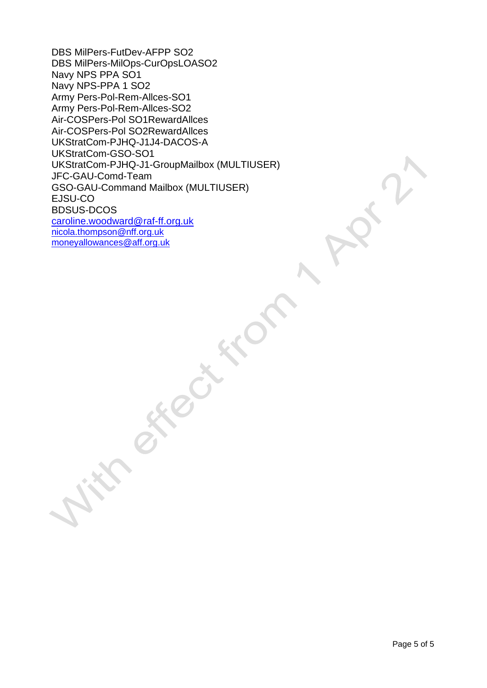DBS MilPers-FutDev-AFPP SO2 DBS MilPers-MilOps-CurOpsLOASO2 Navy NPS PPA SO1 Navy NPS-PPA 1 SO2 Army Pers-Pol-Rem-Allces-SO1 Army Pers-Pol-Rem-Allces-SO2 Air-COSPers-Pol SO1RewardAllces Air-COSPers-Pol SO2RewardAllces UKStratCom-PJHQ-J1J4-DACOS-A UKStratCom-GSO-SO1 UKStratCom-PJHQ-J1-GroupMailbox (MULTIUSER) JFC-GAU-Comd-Team GSO-GAU-Command Mailbox (MULTIUSER) EJSU-CO BDSUS-DCOS [caroline.woodward@raf-ff.org.uk](mailto:caroline.woodward@raf-ff.org.uk) [nicola.thompson@nff.org.uk](mailto:nicola.thompson@nff.org.uk) [moneyallowances@aff.org.uk](mailto:moneyallowances@aff.org.uk)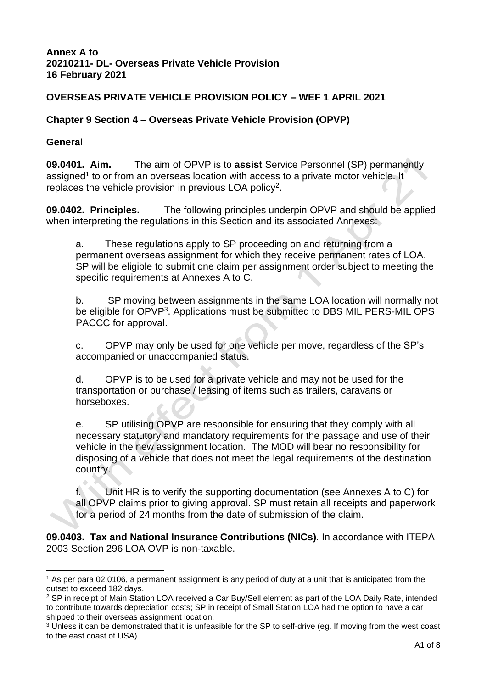#### **Annex A to 20210211- DL- Overseas Private Vehicle Provision 16 February 2021**

### **OVERSEAS PRIVATE VEHICLE PROVISION POLICY – WEF 1 APRIL 2021**

#### **Chapter 9 Section 4 – Overseas Private Vehicle Provision (OPVP)**

#### **General**

**09.0401. Aim.** The aim of OPVP is to **assist** Service Personnel (SP) permanently assigned<sup>1</sup> to or from an overseas location with access to a private motor vehicle. It replaces the vehicle provision in previous LOA policy<sup>2</sup>.

**09.0402. Principles.** The following principles underpin OPVP and should be applied when interpreting the regulations in this Section and its associated Annexes:

a. These regulations apply to SP proceeding on and returning from a permanent overseas assignment for which they receive permanent rates of LOA. SP will be eligible to submit one claim per assignment order subject to meeting the specific requirements at Annexes A to C.

b. SP moving between assignments in the same LOA location will normally not be eligible for OPVP<sup>3</sup>. Applications must be submitted to DBS MIL PERS-MIL OPS PACCC for approval.

c. OPVP may only be used for one vehicle per move, regardless of the SP's accompanied or unaccompanied status.

d. OPVP is to be used for a private vehicle and may not be used for the transportation or purchase / leasing of items such as trailers, caravans or horseboxes.

e. SP utilising OPVP are responsible for ensuring that they comply with all necessary statutory and mandatory requirements for the passage and use of their vehicle in the new assignment location. The MOD will bear no responsibility for disposing of a vehicle that does not meet the legal requirements of the destination country.

f. Unit HR is to verify the supporting documentation (see Annexes A to C) for all OPVP claims prior to giving approval. SP must retain all receipts and paperwork for a period of 24 months from the date of submission of the claim.

**09.0403. Tax and National Insurance Contributions (NICs)**. In accordance with ITEPA 2003 Section 296 LOA OVP is non-taxable.

<sup>&</sup>lt;sup>1</sup> As per para 02.0106, a permanent assignment is any period of duty at a unit that is anticipated from the outset to exceed 182 days.

<sup>2</sup> SP in receipt of Main Station LOA received a Car Buy/Sell element as part of the LOA Daily Rate, intended to contribute towards depreciation costs; SP in receipt of Small Station LOA had the option to have a car shipped to their overseas assignment location.

<sup>&</sup>lt;sup>3</sup> Unless it can be demonstrated that it is unfeasible for the SP to self-drive (eg. If moving from the west coast to the east coast of USA).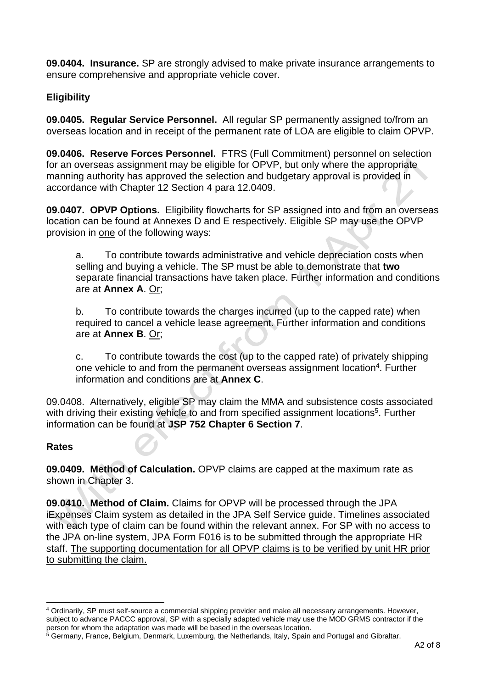**09.0404. Insurance.** SP are strongly advised to make private insurance arrangements to ensure comprehensive and appropriate vehicle cover.

# **Eligibility**

**09.0405. Regular Service Personnel.** All regular SP permanently assigned to/from an overseas location and in receipt of the permanent rate of LOA are eligible to claim OPVP.

**09.0406. Reserve Forces Personnel.** FTRS (Full Commitment) personnel on selection for an overseas assignment may be eligible for OPVP, but only where the appropriate manning authority has approved the selection and budgetary approval is provided in accordance with Chapter 12 Section 4 para 12.0409.

**09.0407. OPVP Options.** Eligibility flowcharts for SP assigned into and from an overseas location can be found at Annexes D and E respectively. Eligible SP may use the OPVP provision in one of the following ways:

a. To contribute towards administrative and vehicle depreciation costs when selling and buying a vehicle. The SP must be able to demonstrate that **two** separate financial transactions have taken place. Further information and conditions are at **Annex A**. Or;

b. To contribute towards the charges incurred (up to the capped rate) when required to cancel a vehicle lease agreement. Further information and conditions are at **Annex B**. Or;

c. To contribute towards the cost (up to the capped rate) of privately shipping one vehicle to and from the permanent overseas assignment location<sup>4</sup>. Further information and conditions are at **Annex C**.

09.0408. Alternatively, eligible SP may claim the MMA and subsistence costs associated with driving their existing vehicle to and from specified assignment locations<sup>5</sup>. Further information can be found at **JSP 752 Chapter 6 Section 7**.

# **Rates**

**09.0409. Method of Calculation.** OPVP claims are capped at the maximum rate as shown in Chapter 3.

**09.0410. Method of Claim.** Claims for OPVP will be processed through the JPA iExpenses Claim system as detailed in the JPA Self Service guide. Timelines associated with each type of claim can be found within the relevant annex. For SP with no access to the JPA on-line system, JPA Form F016 is to be submitted through the appropriate HR staff. The supporting documentation for all OPVP claims is to be verified by unit HR prior to submitting the claim.

<sup>4</sup> Ordinarily, SP must self-source a commercial shipping provider and make all necessary arrangements. However, subject to advance PACCC approval, SP with a specially adapted vehicle may use the MOD GRMS contractor if the person for whom the adaptation was made will be based in the overseas location.

<sup>5</sup> Germany, France, Belgium, Denmark, Luxemburg, the Netherlands, Italy, Spain and Portugal and Gibraltar.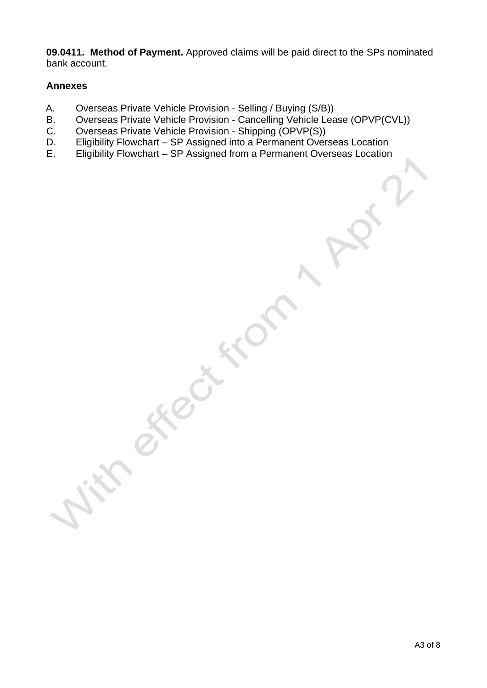**09.0411. Method of Payment.** Approved claims will be paid direct to the SPs nominated bank account.

#### **Annexes**

- A. Overseas Private Vehicle Provision Selling / Buying (S/B))
- B. Overseas Private Vehicle Provision Cancelling Vehicle Lease (OPVP(CVL))
- C. Overseas Private Vehicle Provision Shipping (OPVP(S))
- D. Eligibility Flowchart SP Assigned into a Permanent Overseas Location
- E. Eligibility Flowchart SP Assigned from a Permanent Overseas Location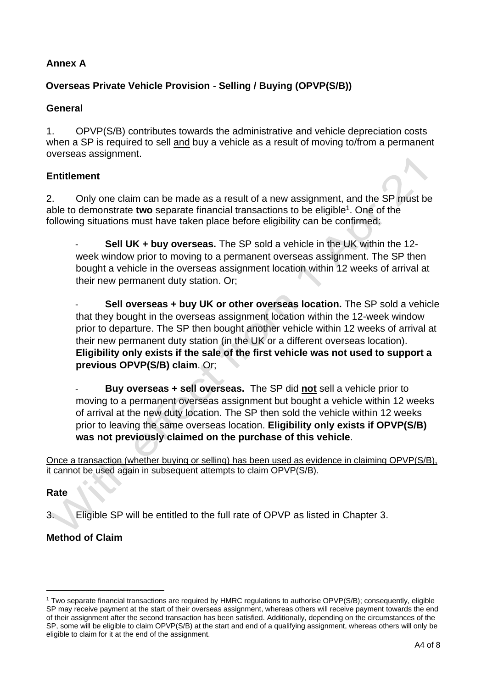# **Annex A**

# **Overseas Private Vehicle Provision** - **Selling / Buying (OPVP(S/B))**

#### **General**

1. OPVP(S/B) contributes towards the administrative and vehicle depreciation costs when a SP is required to sell and buy a vehicle as a result of moving to/from a permanent overseas assignment.

### **Entitlement**

2. Only one claim can be made as a result of a new assignment, and the SP must be able to demonstrate two separate financial transactions to be eligible<sup>1</sup>. One of the following situations must have taken place before eligibility can be confirmed:

- **Sell UK + buy overseas.** The SP sold a vehicle in the UK within the 12 week window prior to moving to a permanent overseas assignment. The SP then bought a vehicle in the overseas assignment location within 12 weeks of arrival at their new permanent duty station. Or;

- **Sell overseas + buy UK or other overseas location.** The SP sold a vehicle that they bought in the overseas assignment location within the 12-week window prior to departure. The SP then bought another vehicle within 12 weeks of arrival at their new permanent duty station (in the UK or a different overseas location). **Eligibility only exists if the sale of the first vehicle was not used to support a previous OPVP(S/B) claim**. Or;

- **Buy overseas + sell overseas.** The SP did **not** sell a vehicle prior to moving to a permanent overseas assignment but bought a vehicle within 12 weeks of arrival at the new duty location. The SP then sold the vehicle within 12 weeks prior to leaving the same overseas location. **Eligibility only exists if OPVP(S/B) was not previously claimed on the purchase of this vehicle**.

Once a transaction (whether buying or selling) has been used as evidence in claiming OPVP(S/B), it cannot be used again in subsequent attempts to claim OPVP(S/B).

#### **Rate**

3. Eligible SP will be entitled to the full rate of OPVP as listed in Chapter 3.

# **Method of Claim**

<sup>1</sup> Two separate financial transactions are required by HMRC regulations to authorise OPVP(S/B); consequently, eligible SP may receive payment at the start of their overseas assignment, whereas others will receive payment towards the end of their assignment after the second transaction has been satisfied. Additionally, depending on the circumstances of the SP, some will be eligible to claim OPVP(S/B) at the start and end of a qualifying assignment, whereas others will only be eligible to claim for it at the end of the assignment.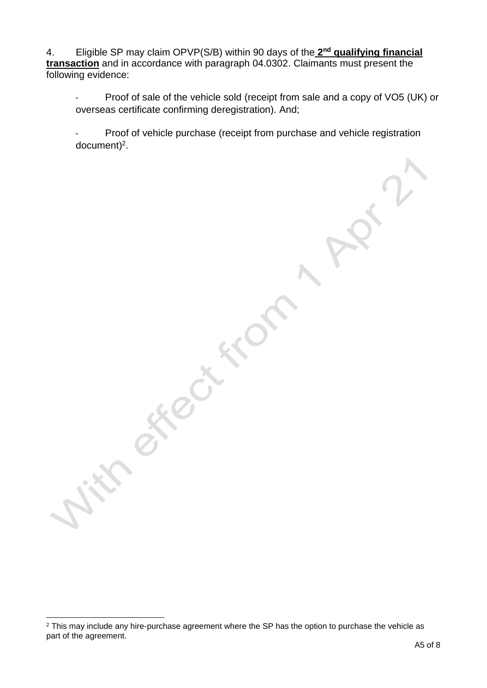4. Eligible SP may claim OPVP(S/B) within 90 days of the 2<sup>nd</sup> qualifying financial **transaction** and in accordance with paragraph 04.0302. Claimants must present the following evidence:

- Proof of sale of the vehicle sold (receipt from sale and a copy of VO5 (UK) or overseas certificate confirming deregistration). And;

- Proof of vehicle purchase (receipt from purchase and vehicle registration  $document)^2$ .

Cathleen

FROC

<sup>&</sup>lt;sup>2</sup> This may include any hire-purchase agreement where the SP has the option to purchase the vehicle as part of the agreement.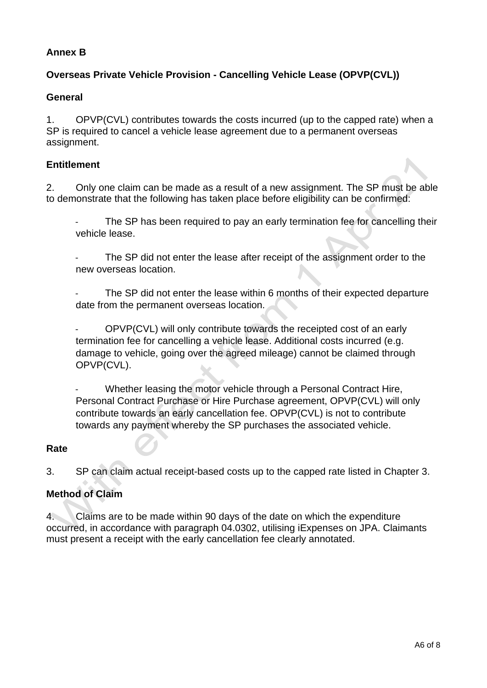### **Annex B**

# **Overseas Private Vehicle Provision - Cancelling Vehicle Lease (OPVP(CVL))**

#### **General**

1. OPVP(CVL) contributes towards the costs incurred (up to the capped rate) when a SP is required to cancel a vehicle lease agreement due to a permanent overseas assignment.

#### **Entitlement**

2. Only one claim can be made as a result of a new assignment. The SP must be able to demonstrate that the following has taken place before eligibility can be confirmed:

The SP has been required to pay an early termination fee for cancelling their vehicle lease.

The SP did not enter the lease after receipt of the assignment order to the new overseas location.

The SP did not enter the lease within 6 months of their expected departure date from the permanent overseas location.

- OPVP(CVL) will only contribute towards the receipted cost of an early termination fee for cancelling a vehicle lease. Additional costs incurred (e.g. damage to vehicle, going over the agreed mileage) cannot be claimed through OPVP(CVL).

Whether leasing the motor vehicle through a Personal Contract Hire, Personal Contract Purchase or Hire Purchase agreement, OPVP(CVL) will only contribute towards an early cancellation fee. OPVP(CVL) is not to contribute towards any payment whereby the SP purchases the associated vehicle.

#### **Rate**

3. SP can claim actual receipt-based costs up to the capped rate listed in Chapter 3.

#### **Method of Claim**

4. Claims are to be made within 90 days of the date on which the expenditure occurred, in accordance with paragraph 04.0302, utilising iExpenses on JPA. Claimants must present a receipt with the early cancellation fee clearly annotated.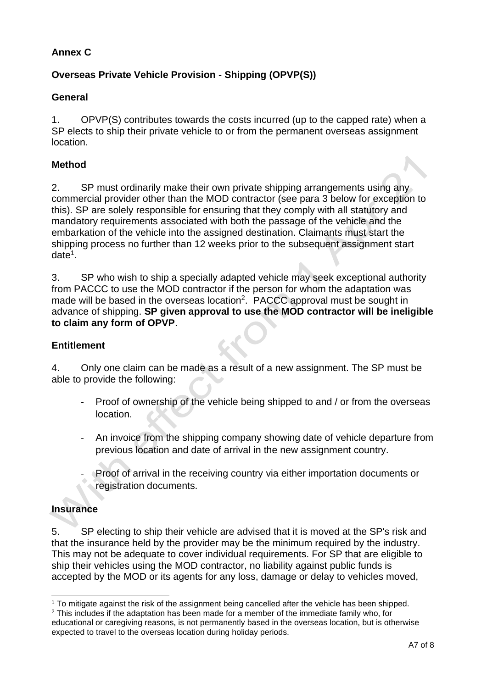# **Annex C**

# **Overseas Private Vehicle Provision - Shipping (OPVP(S))**

### **General**

1. OPVP(S) contributes towards the costs incurred (up to the capped rate) when a SP elects to ship their private vehicle to or from the permanent overseas assignment location.

### **Method**

2. SP must ordinarily make their own private shipping arrangements using any commercial provider other than the MOD contractor (see para 3 below for exception to this). SP are solely responsible for ensuring that they comply with all statutory and mandatory requirements associated with both the passage of the vehicle and the embarkation of the vehicle into the assigned destination. Claimants must start the shipping process no further than 12 weeks prior to the subsequent assignment start date<sup>1</sup>.

3. SP who wish to ship a specially adapted vehicle may seek exceptional authority from PACCC to use the MOD contractor if the person for whom the adaptation was made will be based in the overseas location<sup>2</sup>. PACCC approval must be sought in advance of shipping. **SP given approval to use the MOD contractor will be ineligible to claim any form of OPVP**.

#### **Entitlement**

4. Only one claim can be made as a result of a new assignment. The SP must be able to provide the following:

- Proof of ownership of the vehicle being shipped to and / or from the overseas location.
- An invoice from the shipping company showing date of vehicle departure from previous location and date of arrival in the new assignment country.
- Proof of arrival in the receiving country via either importation documents or registration documents.

# **Insurance**

5. SP electing to ship their vehicle are advised that it is moved at the SP's risk and that the insurance held by the provider may be the minimum required by the industry. This may not be adequate to cover individual requirements. For SP that are eligible to ship their vehicles using the MOD contractor, no liability against public funds is accepted by the MOD or its agents for any loss, damage or delay to vehicles moved,

<sup>1</sup> To mitigate against the risk of the assignment being cancelled after the vehicle has been shipped.

 $2$  This includes if the adaptation has been made for a member of the immediate family who, for educational or caregiving reasons, is not permanently based in the overseas location, but is otherwise expected to travel to the overseas location during holiday periods.